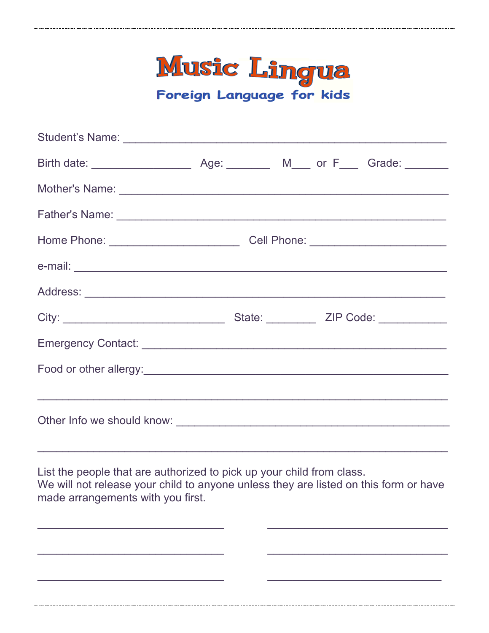| Music Lingua<br>Foreign Language for kids                                                                                                                                                          |                                                                                  |  |  |  |
|----------------------------------------------------------------------------------------------------------------------------------------------------------------------------------------------------|----------------------------------------------------------------------------------|--|--|--|
|                                                                                                                                                                                                    |                                                                                  |  |  |  |
|                                                                                                                                                                                                    |                                                                                  |  |  |  |
|                                                                                                                                                                                                    |                                                                                  |  |  |  |
|                                                                                                                                                                                                    |                                                                                  |  |  |  |
|                                                                                                                                                                                                    | Home Phone: ___________________________________Cell Phone: _____________________ |  |  |  |
|                                                                                                                                                                                                    |                                                                                  |  |  |  |
|                                                                                                                                                                                                    |                                                                                  |  |  |  |
|                                                                                                                                                                                                    |                                                                                  |  |  |  |
|                                                                                                                                                                                                    |                                                                                  |  |  |  |
|                                                                                                                                                                                                    |                                                                                  |  |  |  |
|                                                                                                                                                                                                    |                                                                                  |  |  |  |
| List the people that are authorized to pick up your child from class.<br>We will not release your child to anyone unless they are listed on this form or have<br>made arrangements with you first. |                                                                                  |  |  |  |
|                                                                                                                                                                                                    |                                                                                  |  |  |  |
|                                                                                                                                                                                                    |                                                                                  |  |  |  |
|                                                                                                                                                                                                    |                                                                                  |  |  |  |